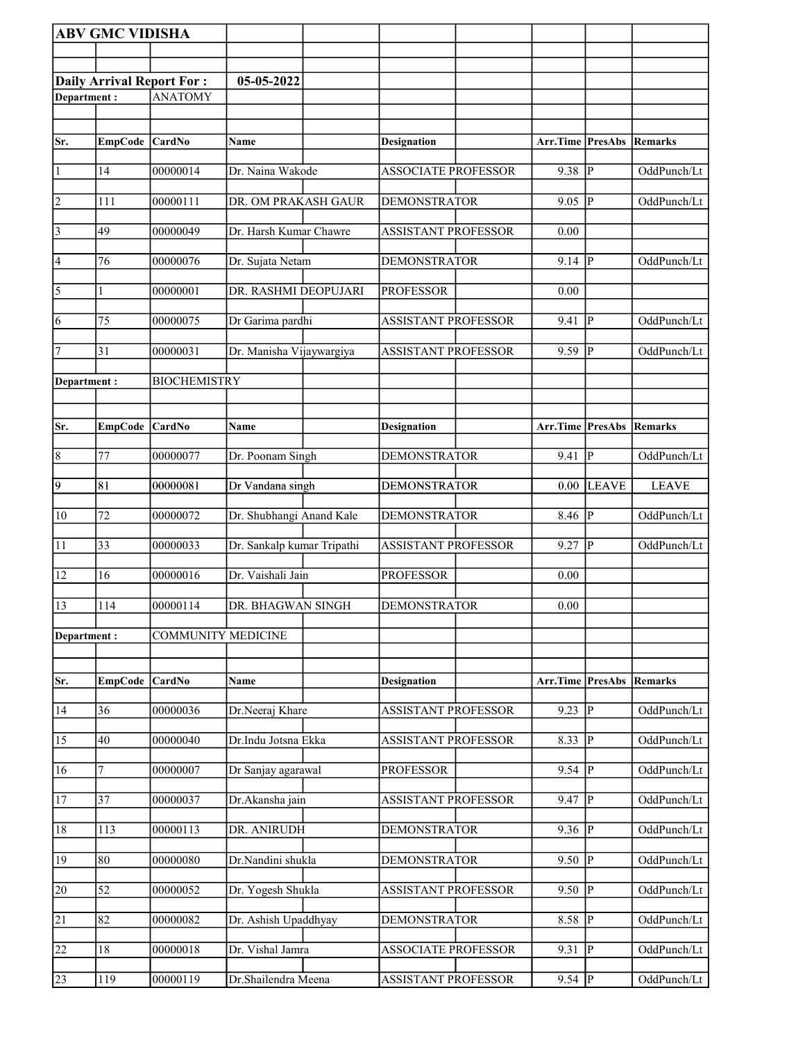|                 | <b>ABV GMC VIDISHA</b> |                                  |                            |                            |                                 |                         |              |
|-----------------|------------------------|----------------------------------|----------------------------|----------------------------|---------------------------------|-------------------------|--------------|
|                 |                        |                                  |                            |                            |                                 |                         |              |
|                 |                        | <b>Daily Arrival Report For:</b> | 05-05-2022                 |                            |                                 |                         |              |
| Department:     |                        | <b>ANATOMY</b>                   |                            |                            |                                 |                         |              |
|                 |                        |                                  |                            |                            |                                 |                         |              |
| Sr.             | EmpCode CardNo         |                                  | <b>Name</b>                | <b>Designation</b>         | Arr.Time PresAbs Remarks        |                         |              |
|                 |                        |                                  |                            |                            |                                 |                         |              |
| $\vert$ 1       | 14                     | 00000014                         | Dr. Naina Wakode           | <b>ASSOCIATE PROFESSOR</b> | 9.38                            | p                       | OddPunch/Lt  |
| $\overline{2}$  | 111                    | 00000111                         | DR. OM PRAKASH GAUR        | <b>DEMONSTRATOR</b>        | 9.05                            | P                       | OddPunch/Lt  |
|                 | 49                     | 00000049                         | Dr. Harsh Kumar Chawre     | <b>ASSISTANT PROFESSOR</b> | 0.00                            |                         |              |
| $\vert$ 3       |                        |                                  |                            |                            |                                 |                         |              |
| 4               | 76                     | 00000076                         | Dr. Sujata Netam           | <b>DEMONSTRATOR</b>        | 9.14                            | P                       | OddPunch/Lt  |
| 5               |                        | 00000001                         | DR. RASHMI DEOPUJARI       | <b>PROFESSOR</b>           | 0.00                            |                         |              |
|                 |                        |                                  |                            |                            |                                 |                         |              |
| 6               | 75                     | 00000075                         | Dr Garima pardhi           | <b>ASSISTANT PROFESSOR</b> | 9.41                            | P                       | OddPunch/Lt  |
| 7               | 31                     | 00000031                         | Dr. Manisha Vijaywargiya   | <b>ASSISTANT PROFESSOR</b> | 9.59                            | lР                      | OddPunch/Lt  |
| Department:     |                        | <b>BIOCHEMISTRY</b>              |                            |                            |                                 |                         |              |
|                 |                        |                                  |                            |                            |                                 |                         |              |
| Sr.             | EmpCode CardNo         |                                  | Name                       | <b>Designation</b>         | Arr.Time PresAbs                |                         | Remarks      |
|                 |                        |                                  |                            |                            |                                 |                         |              |
| $\vert 8$       | 77                     | 00000077                         | Dr. Poonam Singh           | <b>DEMONSTRATOR</b>        | 9.41                            | $\overline{P}$          | OddPunch/Lt  |
| $\overline{9}$  | 81                     | 00000081                         | Dr Vandana singh           | <b>DEMONSTRATOR</b>        | 0.00                            | <b>LEAVE</b>            | <b>LEAVE</b> |
|                 | $\overline{72}$        | 00000072                         |                            | <b>DEMONSTRATOR</b>        |                                 | <sup> </sup> P          |              |
| $ 10\rangle$    |                        |                                  | Dr. Shubhangi Anand Kale   |                            | 8.46                            |                         | OddPunch/Lt  |
| 11              | 33                     | 00000033                         | Dr. Sankalp kumar Tripathi | <b>ASSISTANT PROFESSOR</b> | 9.27                            | P                       | OddPunch/Lt  |
| 12              | 16                     | 00000016                         | Dr. Vaishali Jain          | <b>PROFESSOR</b>           | 0.00                            |                         |              |
|                 |                        |                                  |                            |                            |                                 |                         |              |
| 13              | 114                    | 00000114                         | DR. BHAGWAN SINGH          | <b>DEMONSTRATOR</b>        | 0.00                            |                         |              |
| Department:     |                        | <b>COMMUNITY MEDICINE</b>        |                            |                            |                                 |                         |              |
|                 |                        |                                  |                            |                            |                                 |                         |              |
| Sr.             | <b>EmpCode</b>         | <b>CardNo</b>                    | Name                       | <b>Designation</b>         | <b>Arr.Time PresAbs Remarks</b> |                         |              |
| 14              | 36                     | 00000036                         | Dr.Neeraj Khare            | <b>ASSISTANT PROFESSOR</b> | 9.23                            | $\overline{P}$          | OddPunch/Lt  |
|                 |                        |                                  |                            |                            |                                 |                         |              |
| $\overline{15}$ | 40                     | 00000040                         | Dr.Indu Jotsna Ekka        | <b>ASSISTANT PROFESSOR</b> | 8.33                            | $\overline{P}$          | OddPunch/Lt  |
| 16              | 7                      | 00000007                         | Dr Sanjay agarawal         | <b>PROFESSOR</b>           | 9.54                            | P                       | OddPunch/Lt  |
| 17              | 37                     | 00000037                         | Dr.Akansha jain            | <b>ASSISTANT PROFESSOR</b> | 9.47                            | lР                      | OddPunch/Lt  |
|                 |                        |                                  |                            |                            |                                 |                         |              |
| 18              | 113                    | 00000113                         | DR. ANIRUDH                | <b>DEMONSTRATOR</b>        | 9.36                            | <sup> </sup> P          | OddPunch/Lt  |
| 19              | 80                     | 00000080                         | Dr.Nandini shukla          | <b>DEMONSTRATOR</b>        | 9.50                            | p                       | OddPunch/Lt  |
| $\overline{20}$ | 52                     | 00000052                         | Dr. Yogesh Shukla          |                            | 9.50                            | $\overline{\mathbb{P}}$ | OddPunch/Lt  |
|                 |                        |                                  |                            | <b>ASSISTANT PROFESSOR</b> |                                 |                         |              |
| 21              | 82                     | 00000082                         | Dr. Ashish Upaddhyay       | <b>DEMONSTRATOR</b>        | 8.58                            | $\overline{P}$          | OddPunch/Lt  |
| $\overline{22}$ | 18                     | 00000018                         | Dr. Vishal Jamra           | <b>ASSOCIATE PROFESSOR</b> | 9.31                            | $ {\bf p} $             | OddPunch/Lt  |
|                 |                        |                                  |                            |                            |                                 |                         |              |
| 23              | 119                    | 00000119                         | Dr.Shailendra Meena        | <b>ASSISTANT PROFESSOR</b> | $9.54$ P                        |                         | OddPunch/Lt  |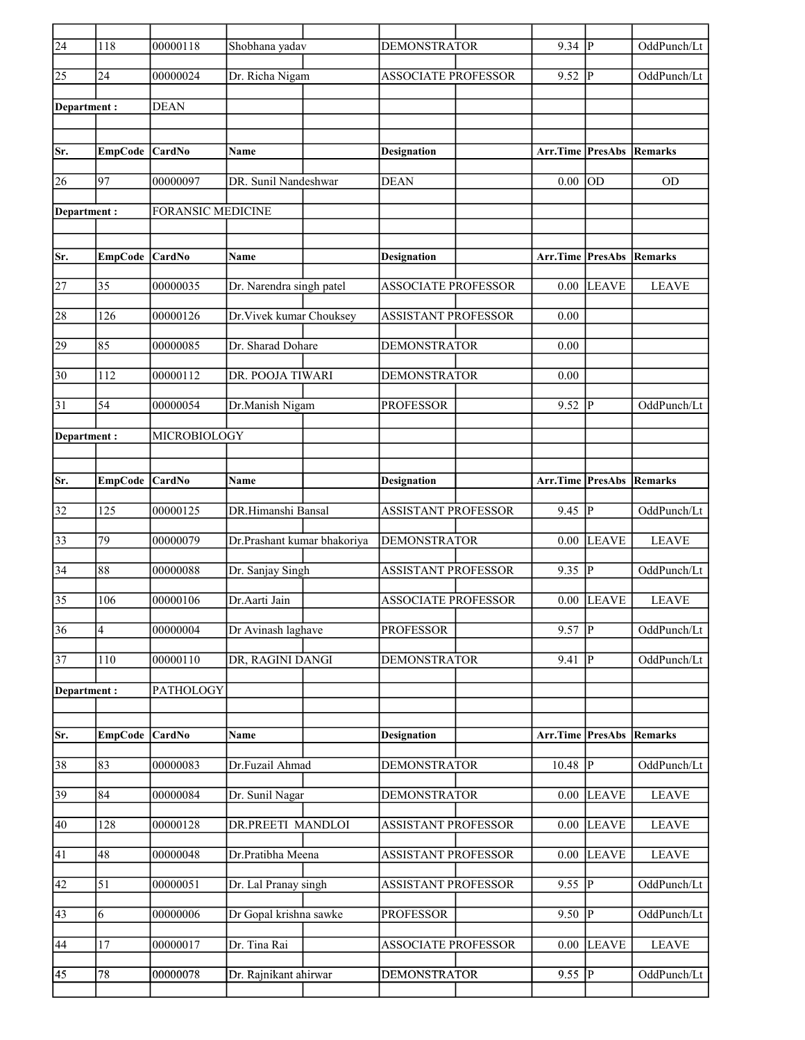| $\overline{24}$ | 118            | 00000118                 | Shobhana yadav              | <b>DEMONSTRATOR</b>        | 9.34                            | $\overline{P}$ | OddPunch/Lt            |
|-----------------|----------------|--------------------------|-----------------------------|----------------------------|---------------------------------|----------------|------------------------|
| 25              | 24             | 00000024                 | Dr. Richa Nigam             | <b>ASSOCIATE PROFESSOR</b> | 9.52                            | $ {\bf p} $    | OddPunch/Lt            |
| Department :    |                | <b>DEAN</b>              |                             |                            |                                 |                |                        |
|                 |                |                          |                             |                            |                                 |                |                        |
| Sr.             | <b>EmpCode</b> | CardNo                   | <b>Name</b>                 | <b>Designation</b>         | Arr.Time                        | <b>PresAbs</b> | Remarks                |
| 26              | 97             | 00000097                 | DR. Sunil Nandeshwar        | <b>DEAN</b>                | 0.00                            | <b>OD</b>      | <b>OD</b>              |
| Department:     |                | <b>FORANSIC MEDICINE</b> |                             |                            |                                 |                |                        |
| Sr.             | <b>EmpCode</b> | <b>CardNo</b>            | <b>Name</b>                 | <b>Designation</b>         | <b>Arr.Time PresAbs Remarks</b> |                |                        |
|                 |                |                          |                             |                            |                                 |                |                        |
| 27              | 35             | 00000035                 | Dr. Narendra singh patel    | <b>ASSOCIATE PROFESSOR</b> | 0.00                            | <b>LEAVE</b>   | <b>LEAVE</b>           |
| 28              | 126            | 00000126                 | Dr. Vivek kumar Chouksey    | <b>ASSISTANT PROFESSOR</b> | 0.00                            |                |                        |
| 29              | 85             | 00000085                 | Dr. Sharad Dohare           | <b>DEMONSTRATOR</b>        | 0.00                            |                |                        |
| 30              | 112            | 00000112                 | DR. POOJA TIWARI            | <b>DEMONSTRATOR</b>        | 0.00                            |                |                        |
| 31              | 54             | 00000054                 | Dr.Manish Nigam             | <b>PROFESSOR</b>           | 9.52                            | P              | OddPunch/Lt            |
| Department:     |                | MICROBIOLOGY             |                             |                            |                                 |                |                        |
|                 |                |                          |                             |                            |                                 |                |                        |
| Sr.             | EmpCode        | <b>CardNo</b>            | <b>Name</b>                 | <b>Designation</b>         | Arr.Time                        |                | <b>PresAbs Remarks</b> |
|                 |                |                          |                             |                            |                                 |                |                        |
| 32              | 125            | 00000125                 | DR.Himanshi Bansal          | <b>ASSISTANT PROFESSOR</b> | 9.45                            | lР             | OddPunch/Lt            |
| 33              | 79             | 00000079                 | Dr.Prashant kumar bhakoriya | <b>DEMONSTRATOR</b>        | 0.00                            | <b>LEAVE</b>   | <b>LEAVE</b>           |
| 34              | 88             | 00000088                 | Dr. Sanjay Singh            | <b>ASSISTANT PROFESSOR</b> | 9.35                            | $\overline{P}$ | OddPunch/Lt            |
| 35              | 106            | 00000106                 | Dr. Aarti Jain              | <b>ASSOCIATE PROFESSOR</b> | 0.00                            | <b>LEAVE</b>   | <b>LEAVE</b>           |
| $\overline{36}$ | 4              | 00000004                 | Dr Avinash laghave          | <b>PROFESSOR</b>           | 9.57                            | $ {\bf p} $    | OddPunch/Lt            |
| 37              | 110            | 00000110                 | DR, RAGINI DANGI            | <b>DEMONSTRATOR</b>        | 9.41                            | P              | OddPunch/Lt            |
| Department:     |                | PATHOLOGY                |                             |                            |                                 |                |                        |
|                 |                |                          |                             |                            |                                 |                |                        |
| Sr.             | <b>EmpCode</b> | CardNo                   | Name                        | <b>Designation</b>         | Arr.Time                        | <b>PresAbs</b> | Remarks                |
| 38              | 83             | 00000083                 | Dr.Fuzail Ahmad             | DEMONSTRATOR               | $10.48$ P                       |                | OddPunch/Lt            |
| 39              | 84             | 00000084                 | Dr. Sunil Nagar             | <b>DEMONSTRATOR</b>        | 0.00                            | <b>LEAVE</b>   | <b>LEAVE</b>           |
| 40              | 128            | 00000128                 | DR.PREETI MANDLOI           | <b>ASSISTANT PROFESSOR</b> | 0.00                            | <b>LEAVE</b>   | <b>LEAVE</b>           |
| 41              | 48             | 00000048                 | Dr.Pratibha Meena           | <b>ASSISTANT PROFESSOR</b> | 0.00                            | <b>LEAVE</b>   | <b>LEAVE</b>           |
| 42              | 51             | 00000051                 | Dr. Lal Pranay singh        | <b>ASSISTANT PROFESSOR</b> | 9.55 $  \overline{P}$           |                | OddPunch/Lt            |
| 43              | 6              | 00000006                 | Dr Gopal krishna sawke      | <b>PROFESSOR</b>           | 9.50                            | $ {\bf P} $    | OddPunch/Lt            |
| 44              | 17             | 00000017                 | Dr. Tina Rai                | <b>ASSOCIATE PROFESSOR</b> | 0.00                            | <b>LEAVE</b>   | <b>LEAVE</b>           |
| 45              | 78             | 00000078                 | Dr. Rajnikant ahirwar       | <b>DEMONSTRATOR</b>        | $9.55$ P                        |                | OddPunch/Lt            |
|                 |                |                          |                             |                            |                                 |                |                        |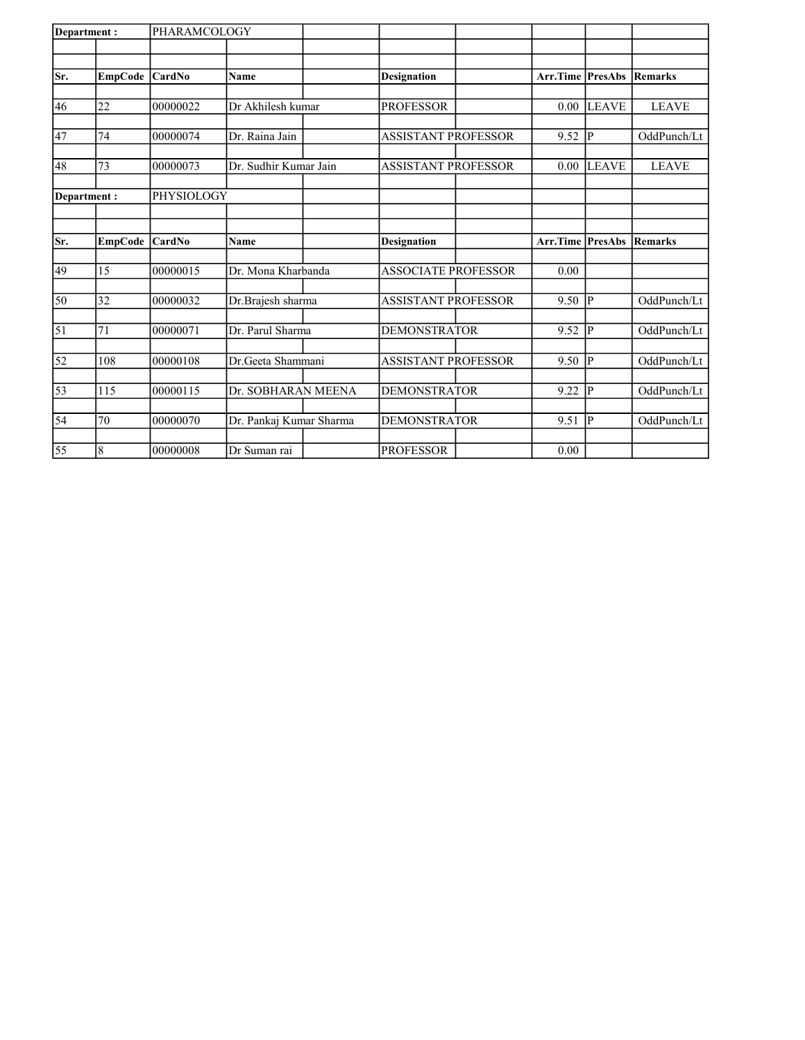| Department:     |                | PHARAMCOLOGY  |                         |  |                            |                         |                |                |
|-----------------|----------------|---------------|-------------------------|--|----------------------------|-------------------------|----------------|----------------|
|                 |                |               |                         |  |                            |                         |                |                |
| Sr.             | <b>EmpCode</b> | <b>CardNo</b> | Name                    |  | <b>Designation</b>         | <b>Arr.Time PresAbs</b> |                | <b>Remarks</b> |
|                 |                |               |                         |  |                            |                         |                |                |
| 46              | 22             | 00000022      | Dr Akhilesh kumar       |  | <b>PROFESSOR</b>           | 0.00                    | <b>LEAVE</b>   | <b>LEAVE</b>   |
|                 |                |               |                         |  |                            |                         |                |                |
| 47              | 74             | 00000074      | Dr. Raina Jain          |  | <b>ASSISTANT PROFESSOR</b> | 9.52                    | <sup>1</sup> P | OddPunch/Lt    |
|                 |                |               |                         |  |                            |                         |                |                |
| 48              | 73             | 00000073      | Dr. Sudhir Kumar Jain   |  | <b>ASSISTANT PROFESSOR</b> | 0.00                    | <b>LEAVE</b>   | <b>LEAVE</b>   |
| Department:     |                | PHYSIOLOGY    |                         |  |                            |                         |                |                |
|                 |                |               |                         |  |                            |                         |                |                |
|                 |                |               |                         |  |                            |                         |                |                |
| lSr.            | <b>EmpCode</b> | CardNo        | <b>Name</b>             |  | <b>Designation</b>         | <b>Arr.Time PresAbs</b> |                | <b>Remarks</b> |
|                 |                |               |                         |  |                            |                         |                |                |
| 49              | 15             | 00000015      | Dr. Mona Kharbanda      |  | <b>ASSOCIATE PROFESSOR</b> | 0.00                    |                |                |
| 50              | 32             | 00000032      | Dr.Brajesh sharma       |  | <b>ASSISTANT PROFESSOR</b> | 9.50                    | <sup>1</sup> P | OddPunch/Lt    |
|                 |                |               |                         |  |                            |                         |                |                |
| 51              | 71             | 00000071      | Dr. Parul Sharma        |  | <b>DEMONSTRATOR</b>        | 9.52                    | <sup>1</sup> P | OddPunch/Lt    |
|                 |                |               |                         |  |                            |                         |                |                |
| 52              | 108            | 00000108      | Dr.Geeta Shammani       |  | <b>ASSISTANT PROFESSOR</b> | 9.50                    | p              | OddPunch/Lt    |
| $\overline{53}$ | 115            | 00000115      | Dr. SOBHARAN MEENA      |  | <b>DEMONSTRATOR</b>        | 9.22                    | p              | OddPunch/Lt    |
|                 |                |               |                         |  |                            |                         |                |                |
| $\overline{54}$ | 70             | 00000070      | Dr. Pankaj Kumar Sharma |  | <b>DEMONSTRATOR</b>        | 9.51                    | <sup> p</sup>  | OddPunch/Lt    |
|                 |                |               |                         |  |                            |                         |                |                |
| $\overline{55}$ | 8              | 00000008      | Dr Suman rai            |  | <b>PROFESSOR</b>           | 0.00                    |                |                |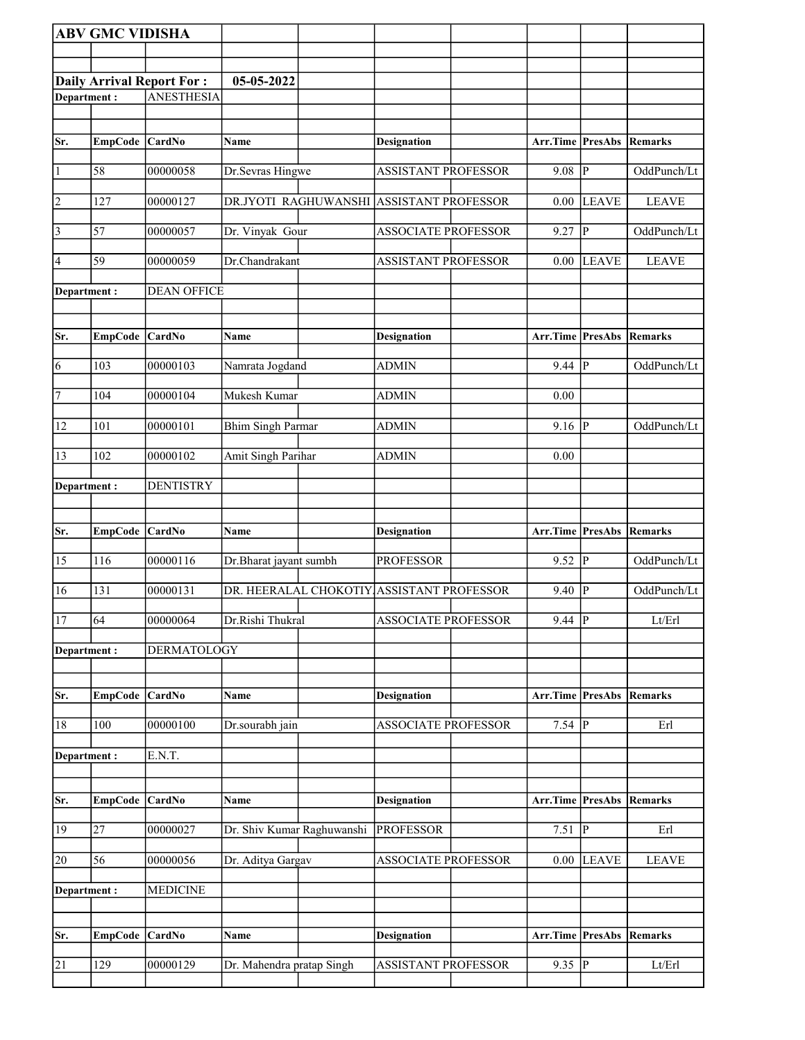|                | <b>ABV GMC VIDISHA</b> |                                  |                            |                                           |                          |              |              |
|----------------|------------------------|----------------------------------|----------------------------|-------------------------------------------|--------------------------|--------------|--------------|
|                |                        |                                  |                            |                                           |                          |              |              |
|                |                        | <b>Daily Arrival Report For:</b> | 05-05-2022                 |                                           |                          |              |              |
| Department:    |                        | <b>ANESTHESIA</b>                |                            |                                           |                          |              |              |
|                |                        |                                  |                            |                                           |                          |              |              |
| Sr.            |                        |                                  | Name                       |                                           | Arr.Time PresAbs         |              | Remarks      |
|                | EmpCode CardNo         |                                  |                            | Designation                               |                          |              |              |
| $\vert$ 1      | 58                     | 00000058                         | Dr.Sevras Hingwe           | <b>ASSISTANT PROFESSOR</b>                | $9.08$ P                 |              | OddPunch/Lt  |
| $\overline{2}$ | 127                    | 00000127                         |                            | DR.JYOTI RAGHUWANSHI ASSISTANT PROFESSOR  |                          | $0.00$ LEAVE | <b>LEAVE</b> |
| $\overline{3}$ | 57                     | 00000057                         | Dr. Vinyak Gour            | <b>ASSOCIATE PROFESSOR</b>                | 9.27 P                   |              | OddPunch/Lt  |
| $\vert 4$      | 59                     | 00000059                         | Dr.Chandrakant             | <b>ASSISTANT PROFESSOR</b>                | $0.00\,$                 | <b>LEAVE</b> | <b>LEAVE</b> |
| Department :   |                        | <b>DEAN OFFICE</b>               |                            |                                           |                          |              |              |
| Sr.            | EmpCode CardNo         |                                  | Name                       | Designation                               | Arr.Time PresAbs         |              | Remarks      |
| 6              | 103                    | 00000103                         | Namrata Jogdand            | <b>ADMIN</b>                              | 9.44                     | P            | OddPunch/Lt  |
| 7              | 104                    | 00000104                         | Mukesh Kumar               | ADMIN                                     | 0.00                     |              |              |
| 12             | 101                    | 00000101                         | <b>Bhim Singh Parmar</b>   | <b>ADMIN</b>                              | 9.16                     | P            | OddPunch/Lt  |
| 13             | 102                    | 00000102                         | Amit Singh Parihar         | <b>ADMIN</b>                              | 0.00                     |              |              |
| Department:    |                        | <b>DENTISTRY</b>                 |                            |                                           |                          |              |              |
|                |                        |                                  |                            |                                           |                          |              |              |
| Sr.            | <b>EmpCode</b>         | <b>CardNo</b>                    | Name                       | Designation                               | Arr.Time PresAbs         |              | Remarks      |
| 15             | 116                    | 00000116                         | Dr.Bharat jayant sumbh     | <b>PROFESSOR</b>                          | $9.52$ P                 |              | OddPunch/Lt  |
| 16             | 131                    | 00000131                         |                            | DR. HEERALAL CHOKOTIY ASSISTANT PROFESSOR | 9.40                     | P            | OddPunch/Lt  |
| 17             | 64                     | 00000064                         | Dr.Rishi Thukral           | <b>ASSOCIATE PROFESSOR</b>                | $9.44$ P                 |              | Lt/Erl       |
| Department :   |                        | DERMATOLOGY                      |                            |                                           |                          |              |              |
| Sr.            | <b>EmpCode</b>         | <b>CardNo</b>                    | Name                       | <b>Designation</b>                        | Arr.Time PresAbs         |              | Remarks      |
| $18\,$         | 100                    | 00000100                         | Dr.sourabh jain            | <b>ASSOCIATE PROFESSOR</b>                | $7.54$ P                 |              | Erl          |
| Department:    |                        | E.N.T.                           |                            |                                           |                          |              |              |
|                |                        |                                  |                            |                                           |                          |              |              |
| Sr.            | EmpCode CardNo         |                                  | Name                       | <b>Designation</b>                        | Arr.Time PresAbs Remarks |              |              |
| 19             | 27                     | 00000027                         | Dr. Shiv Kumar Raghuwanshi | <b>PROFESSOR</b>                          | $7.51$ P                 |              | Erl          |
| 20             | 56                     | 00000056                         | Dr. Aditya Gargav          | <b>ASSOCIATE PROFESSOR</b>                | $0.00\,$                 | <b>LEAVE</b> | <b>LEAVE</b> |
| Department :   |                        | <b>MEDICINE</b>                  |                            |                                           |                          |              |              |
| Sr.            | <b>EmpCode</b>         | CardNo                           | Name                       | <b>Designation</b>                        | Arr.Time PresAbs         |              | Remarks      |
| 21             | 129                    | 00000129                         | Dr. Mahendra pratap Singh  | <b>ASSISTANT PROFESSOR</b>                | $9.35$ P                 |              | Lt/Erl       |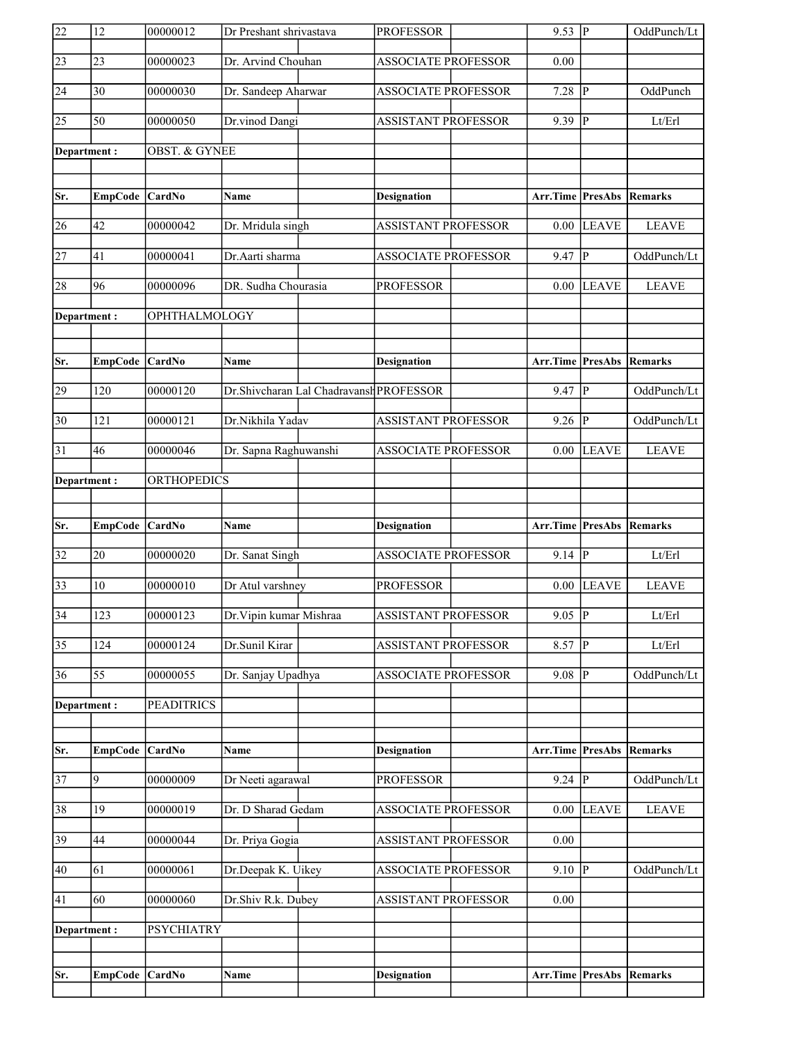| 22              | 12             | 00000012                 | Dr Preshant shrivastava |                                         | <b>PROFESSOR</b>           | $9.53$ P                |                         | OddPunch/Lt                |
|-----------------|----------------|--------------------------|-------------------------|-----------------------------------------|----------------------------|-------------------------|-------------------------|----------------------------|
| $\overline{23}$ | 23             | 00000023                 | Dr. Arvind Chouhan      |                                         | <b>ASSOCIATE PROFESSOR</b> | 0.00                    |                         |                            |
| 24              | 30             | 00000030                 | Dr. Sandeep Aharwar     |                                         | ASSOCIATE PROFESSOR        | 7.28                    | $ {\bf p} $             | OddPunch                   |
| $\overline{25}$ | 50             | 00000050                 | Dr.vinod Dangi          |                                         | <b>ASSISTANT PROFESSOR</b> | 9.39 P                  |                         | Lt/Erl                     |
| Department:     |                | <b>OBST. &amp; GYNEE</b> |                         |                                         |                            |                         |                         |                            |
|                 |                |                          |                         |                                         |                            |                         |                         |                            |
| Sr.             | EmpCode CardNo |                          | <b>Name</b>             |                                         | <b>Designation</b>         | <b>Arr.Time</b> PresAbs |                         | Remarks                    |
| 26              | 42             | 00000042                 | Dr. Mridula singh       |                                         | <b>ASSISTANT PROFESSOR</b> | 0.00                    | <b>LEAVE</b>            | <b>LEAVE</b>               |
| $\overline{27}$ | 41             | 00000041                 | Dr.Aarti sharma         |                                         | <b>ASSOCIATE PROFESSOR</b> | $9.47$ P                |                         | OddPunch/Lt                |
| 28              | 96             | 00000096                 | DR. Sudha Chourasia     |                                         | <b>PROFESSOR</b>           | $0.00\,$                | <b>LEAVE</b>            | <b>LEAVE</b>               |
| Department:     |                | OPHTHALMOLOGY            |                         |                                         |                            |                         |                         |                            |
|                 |                |                          |                         |                                         |                            |                         |                         |                            |
| Sr.             | EmpCode CardNo |                          | Name                    |                                         | <b>Designation</b>         | Arr.Time PresAbs        |                         | Remarks                    |
| 29              | 120            | 00000120                 |                         | Dr.Shivcharan Lal Chadravansh PROFESSOR |                            | $9.47$ P                |                         | OddPunch/Lt                |
| $\overline{30}$ | 121            | 00000121                 | Dr.Nikhila Yadav        |                                         | <b>ASSISTANT PROFESSOR</b> | $9.26$ P                |                         | OddPunch/Lt                |
| 31              | 46             | 00000046                 | Dr. Sapna Raghuwanshi   |                                         | <b>ASSOCIATE PROFESSOR</b> | 0.00                    | <b>LEAVE</b>            | <b>LEAVE</b>               |
| Department:     |                | <b>ORTHOPEDICS</b>       |                         |                                         |                            |                         |                         |                            |
|                 |                |                          |                         |                                         |                            |                         |                         |                            |
|                 |                |                          |                         |                                         |                            |                         |                         |                            |
| Sr.             | <b>EmpCode</b> | <b>CardNo</b>            | Name                    |                                         | <b>Designation</b>         | Arr.Time PresAbs        |                         | Remarks                    |
| $\overline{32}$ | 20             | 00000020                 | Dr. Sanat Singh         |                                         | <b>ASSOCIATE PROFESSOR</b> | $9.14$ P                |                         | $\mathbf{Lt}/\mathbf{Erl}$ |
| $\overline{33}$ | 10             | 00000010                 | Dr Atul varshney        |                                         | <b>PROFESSOR</b>           |                         | $0.00$ LEAVE            | <b>LEAVE</b>               |
| $\overline{34}$ | 123            | 00000123                 | Dr. Vipin kumar Mishraa |                                         | <b>ASSISTANT PROFESSOR</b> | $9.05$ P                |                         | Lt/Erl                     |
| $\overline{35}$ | 124            | 00000124                 | Dr.Sunil Kirar          |                                         | <b>ASSISTANT PROFESSOR</b> | $8.57$ P                |                         | Lt/Erl                     |
| 36              | 55             | 00000055                 | Dr. Sanjay Upadhya      |                                         | <b>ASSOCIATE PROFESSOR</b> | $9.08$ P                |                         | OddPunch/Lt                |
| Department:     |                | <b>PEADITRICS</b>        |                         |                                         |                            |                         |                         |                            |
|                 |                |                          |                         |                                         |                            |                         |                         |                            |
| Sr.             | <b>EmpCode</b> | CardNo                   | Name                    |                                         | <b>Designation</b>         | <b>Arr.Time PresAbs</b> |                         | <b>Remarks</b>             |
| $\overline{37}$ | 9              | 00000009                 | Dr Neeti agarawal       |                                         | <b>PROFESSOR</b>           | $9.24$ $\overline{P}$   |                         | OddPunch/Lt                |
| 38              | 19             | 00000019                 | Dr. D Sharad Gedam      |                                         | <b>ASSOCIATE PROFESSOR</b> |                         | $\overline{0.00}$ LEAVE | <b>LEAVE</b>               |
| 39              | 44             | 00000044                 | Dr. Priya Gogia         |                                         | ASSISTANT PROFESSOR        | $0.00\,$                |                         |                            |
| 40              | 61             | 00000061                 | Dr.Deepak K. Uikey      |                                         | <b>ASSOCIATE PROFESSOR</b> | $9.10$ P                |                         | OddPunch/Lt                |
| 41              | 60             | 00000060                 | Dr.Shiv R.k. Dubey      |                                         | <b>ASSISTANT PROFESSOR</b> | 0.00                    |                         |                            |
| Department :    |                | <b>PSYCHIATRY</b>        |                         |                                         |                            |                         |                         |                            |
|                 |                |                          |                         |                                         |                            |                         |                         |                            |